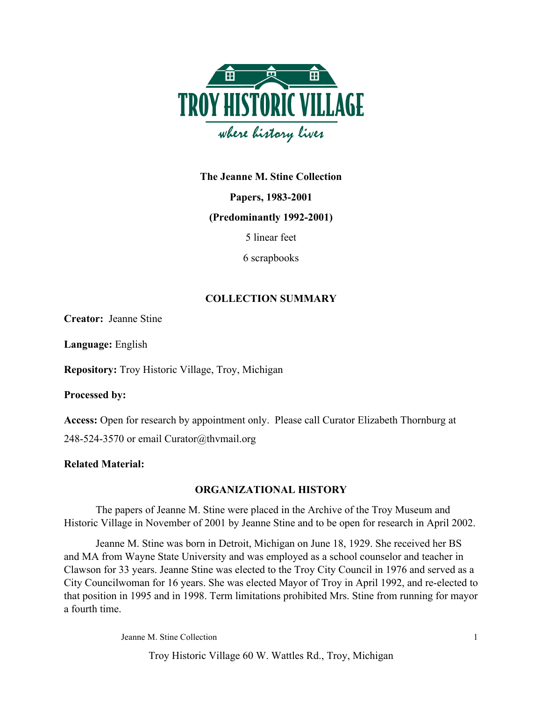

**The Jeanne M. Stine Collection**

**Papers, 1983-2001**

**(Predominantly 1992-2001)**

5 linear feet

6 scrapbooks

# **COLLECTION SUMMARY**

**Creator:** Jeanne Stine

**Language:** English

**Repository:** Troy Historic Village, Troy, Michigan

**Processed by:**

**Access:** Open for research by appointment only. Please call Curator Elizabeth Thornburg at 248-524-3570 or email Curator@thvmail.org

# **Related Material:**

# **ORGANIZATIONAL HISTORY**

The papers of Jeanne M. Stine were placed in the Archive of the Troy Museum and Historic Village in November of 2001 by Jeanne Stine and to be open for research in April 2002.

Jeanne M. Stine was born in Detroit, Michigan on June 18, 1929. She received her BS and MA from Wayne State University and was employed as a school counselor and teacher in Clawson for 33 years. Jeanne Stine was elected to the Troy City Council in 1976 and served as a City Councilwoman for 16 years. She was elected Mayor of Troy in April 1992, and re-elected to that position in 1995 and in 1998. Term limitations prohibited Mrs. Stine from running for mayor a fourth time.

Jeanne M. Stine Collection 1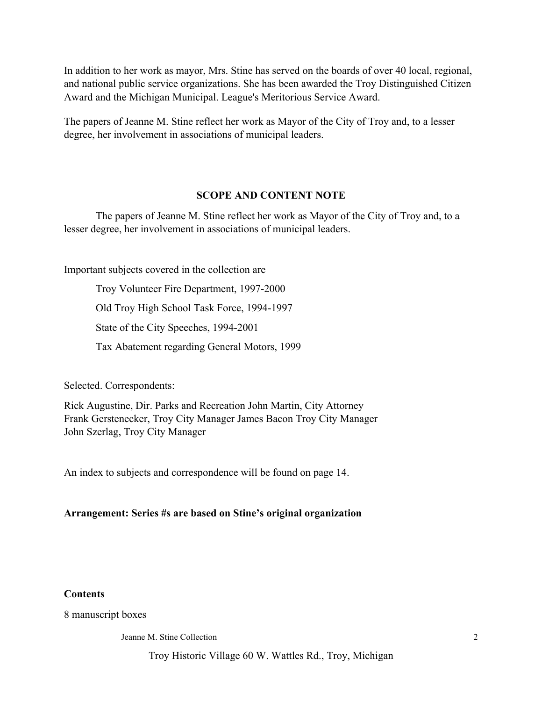In addition to her work as mayor, Mrs. Stine has served on the boards of over 40 local, regional, and national public service organizations. She has been awarded the Troy Distinguished Citizen Award and the Michigan Municipal. League's Meritorious Service Award.

The papers of Jeanne M. Stine reflect her work as Mayor of the City of Troy and, to a lesser degree, her involvement in associations of municipal leaders.

## **SCOPE AND CONTENT NOTE**

The papers of Jeanne M. Stine reflect her work as Mayor of the City of Troy and, to a lesser degree, her involvement in associations of municipal leaders.

Important subjects covered in the collection are

Troy Volunteer Fire Department, 1997-2000 Old Troy High School Task Force, 1994-1997 State of the City Speeches, 1994-2001 Tax Abatement regarding General Motors, 1999

Selected. Correspondents:

Rick Augustine, Dir. Parks and Recreation John Martin, City Attorney Frank Gerstenecker, Troy City Manager James Bacon Troy City Manager John Szerlag, Troy City Manager

An index to subjects and correspondence will be found on page 14.

## **Arrangement: Series #s are based on Stine's original organization**

### **Contents**

8 manuscript boxes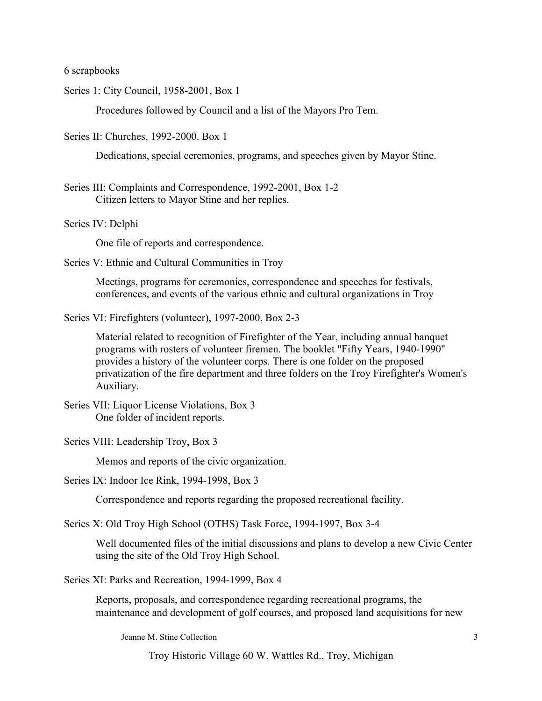6 scrapbooks

Series 1: City Council, 1958-2001, Box 1

Procedures followed by Council and a list of the Mayors Pro Tem.

Series II: Churches, 1992-2000. Box 1

Dedications, special ceremonies, programs, and speeches given by Mayor Stine.

- Series III: Complaints and Correspondence, 1992-2001, Box 1-2 Citizen letters to Mayor Stine and her replies.
- Series IV: Delphi

One file of reports and correspondence.

Series V: Ethnic and Cultural Communities in Troy

Meetings, programs for ceremonies, correspondence and speeches for festivals, conferences, and events of the various ethnic and cultural organizations in Troy

Series VI: Firefighters (volunteer), 1997-2000, Box 2-3

Material related to recognition of Firefighter of the Year, including annual banquet programs with rosters of volunteer firemen. The booklet "Fifty Years, 1940-1990" provides a history of the volunteer corps. There is one folder on the proposed privatization of the fire department and three folders on the Troy Firefighter's Women's Auxiliary.

Series VII: Liquor License Violations, Box 3 One folder of incident reports.

Series VIII: Leadership Troy, Box 3

Memos and reports of the civic organization.

Series IX: Indoor Ice Rink, 1994-1998, Box 3

Correspondence and reports regarding the proposed recreational facility.

Series X: Old Troy High School (OTHS) Task Force, 1994-1997, Box 3-4

Well documented files of the initial discussions and plans to develop a new Civic Center using the site of the Old Troy High School.

Series XI: Parks and Recreation, 1994-1999, Box 4

Reports, proposals, and correspondence regarding recreational programs, the maintenance and development of golf courses, and proposed land acquisitions for new

Jeanne M. Stine Collection 3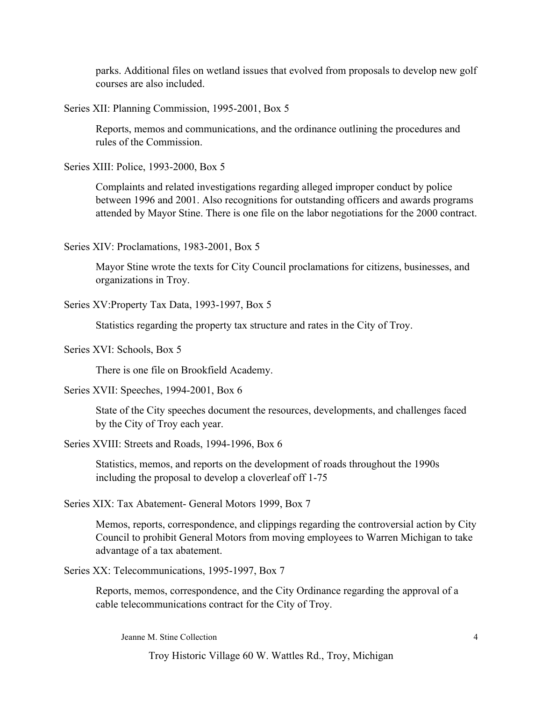parks. Additional files on wetland issues that evolved from proposals to develop new golf courses are also included.

Series XII: Planning Commission, 1995-2001, Box 5

Reports, memos and communications, and the ordinance outlining the procedures and rules of the Commission.

Series XIII: Police, 1993-2000, Box 5

Complaints and related investigations regarding alleged improper conduct by police between 1996 and 2001. Also recognitions for outstanding officers and awards programs attended by Mayor Stine. There is one file on the labor negotiations for the 2000 contract.

Series XIV: Proclamations, 1983-2001, Box 5

Mayor Stine wrote the texts for City Council proclamations for citizens, businesses, and organizations in Troy.

Series XV:Property Tax Data, 1993-1997, Box 5

Statistics regarding the property tax structure and rates in the City of Troy.

Series XVI: Schools, Box 5

There is one file on Brookfield Academy.

Series XVII: Speeches, 1994-2001, Box 6

State of the City speeches document the resources, developments, and challenges faced by the City of Troy each year.

Series XVIII: Streets and Roads, 1994-1996, Box 6

Statistics, memos, and reports on the development of roads throughout the 1990s including the proposal to develop a cloverleaf off 1-75

Series XIX: Tax Abatement- General Motors 1999, Box 7

Memos, reports, correspondence, and clippings regarding the controversial action by City Council to prohibit General Motors from moving employees to Warren Michigan to take advantage of a tax abatement.

Series XX: Telecommunications, 1995-1997, Box 7

Reports, memos, correspondence, and the City Ordinance regarding the approval of a cable telecommunications contract for the City of Troy.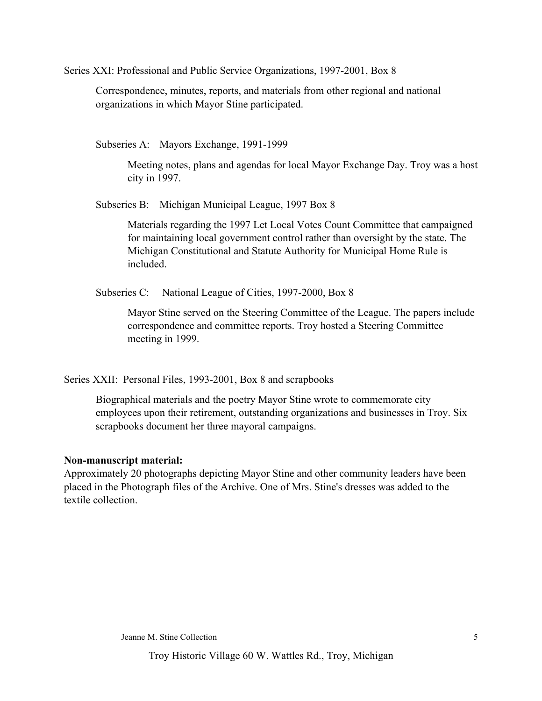Series XXI: Professional and Public Service Organizations, 1997-2001, Box 8

Correspondence, minutes, reports, and materials from other regional and national organizations in which Mayor Stine participated.

Subseries A: Mayors Exchange, 1991-1999

Meeting notes, plans and agendas for local Mayor Exchange Day. Troy was a host city in 1997.

Subseries B: Michigan Municipal League, 1997 Box 8

Materials regarding the 1997 Let Local Votes Count Committee that campaigned for maintaining local government control rather than oversight by the state. The Michigan Constitutional and Statute Authority for Municipal Home Rule is included.

Subseries C: National League of Cities, 1997-2000, Box 8

Mayor Stine served on the Steering Committee of the League. The papers include correspondence and committee reports. Troy hosted a Steering Committee meeting in 1999.

Series XXII: Personal Files, 1993-2001, Box 8 and scrapbooks

Biographical materials and the poetry Mayor Stine wrote to commemorate city employees upon their retirement, outstanding organizations and businesses in Troy. Six scrapbooks document her three mayoral campaigns.

# **Non-manuscript material:**

Approximately 20 photographs depicting Mayor Stine and other community leaders have been placed in the Photograph files of the Archive. One of Mrs. Stine's dresses was added to the textile collection.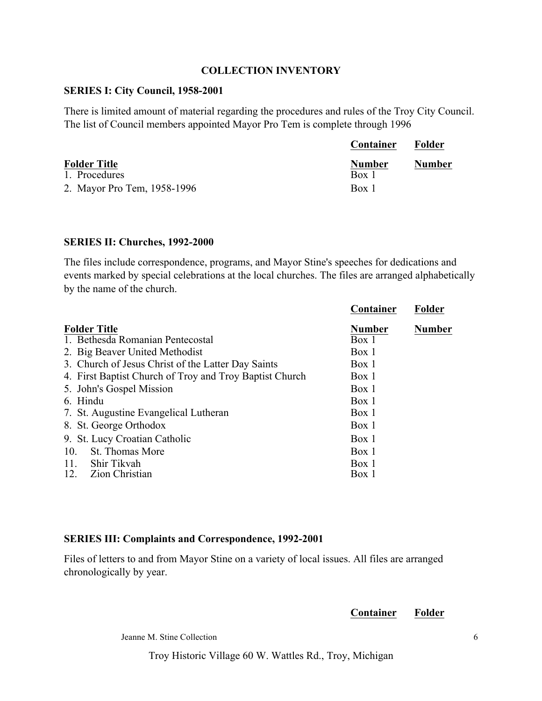# **COLLECTION INVENTORY**

# **SERIES I: City Council, 1958-2001**

There is limited amount of material regarding the procedures and rules of the Troy City Council. The list of Council members appointed Mayor Pro Tem is complete through 1996

|                             | <b>Container</b> | Folder        |
|-----------------------------|------------------|---------------|
| <b>Folder Title</b>         | <b>Number</b>    | <b>Number</b> |
| 1. Procedures               | Box 1            |               |
| 2. Mayor Pro Tem, 1958-1996 | Box 1            |               |

## **SERIES II: Churches, 1992-2000**

The files include correspondence, programs, and Mayor Stine's speeches for dedications and events marked by special celebrations at the local churches. The files are arranged alphabetically by the name of the church.

|                                                         | Container     | <b>Folder</b> |
|---------------------------------------------------------|---------------|---------------|
| <b>Folder Title</b>                                     | <b>Number</b> | <b>Number</b> |
| 1. Bethesda Romanian Pentecostal                        | Box 1         |               |
| 2. Big Beaver United Methodist                          | Box 1         |               |
| 3. Church of Jesus Christ of the Latter Day Saints      | Box 1         |               |
| 4. First Baptist Church of Troy and Troy Baptist Church | Box 1         |               |
| 5. John's Gospel Mission                                | Box 1         |               |
| 6. Hindu                                                | Box 1         |               |
| 7. St. Augustine Evangelical Lutheran                   | Box 1         |               |
| 8. St. George Orthodox                                  | Box 1         |               |
| 9. St. Lucy Croatian Catholic                           | Box 1         |               |
| St. Thomas More<br>10.                                  | Box 1         |               |
| Shir Tikvah<br>11.                                      | Box 1         |               |
| 12.<br>Zion Christian                                   | Box 1         |               |

# **SERIES III: Complaints and Correspondence, 1992-2001**

Files of letters to and from Mayor Stine on a variety of local issues. All files are arranged chronologically by year.

## **Container Folder**

Jeanne M. Stine Collection 6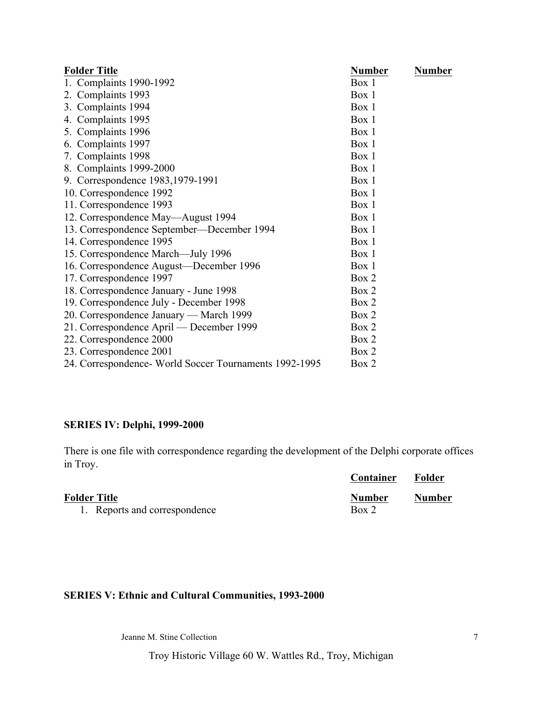| <b>Folder Title</b>                                   | <b>Number</b> | <b>Number</b> |
|-------------------------------------------------------|---------------|---------------|
| Complaints 1990-1992<br>1.                            | Box 1         |               |
| 2. Complaints 1993                                    | Box 1         |               |
| 3. Complaints 1994                                    | Box 1         |               |
| 4. Complaints 1995                                    | Box 1         |               |
| 5. Complaints 1996                                    | Box 1         |               |
| 6. Complaints 1997                                    | Box 1         |               |
| 7. Complaints 1998                                    | Box 1         |               |
| 8. Complaints 1999-2000                               | Box 1         |               |
| 9. Correspondence 1983, 1979-1991                     | Box 1         |               |
| 10. Correspondence 1992                               | Box 1         |               |
| 11. Correspondence 1993                               | Box 1         |               |
| 12. Correspondence May—August 1994                    | Box 1         |               |
| 13. Correspondence September—December 1994            | Box 1         |               |
| 14. Correspondence 1995                               | Box 1         |               |
| 15. Correspondence March-July 1996                    | Box 1         |               |
| 16. Correspondence August—December 1996               | Box 1         |               |
| 17. Correspondence 1997                               | Box 2         |               |
| 18. Correspondence January - June 1998                | Box 2         |               |
| 19. Correspondence July - December 1998               | Box 2         |               |
| 20. Correspondence January — March 1999               | Box 2         |               |
| 21. Correspondence April — December 1999              | Box 2         |               |
| 22. Correspondence 2000                               | Box 2         |               |
| 23. Correspondence 2001                               | Box 2         |               |
| 24. Correspondence World Soccer Tournaments 1992-1995 | Box 2         |               |

# **SERIES IV: Delphi, 1999-2000**

There is one file with correspondence regarding the development of the Delphi corporate offices in Troy.

|                               | <b>Container</b> | Folder        |
|-------------------------------|------------------|---------------|
| <b>Folder Title</b>           | <b>Number</b>    | <b>Number</b> |
| 1. Reports and correspondence | Box 2            |               |

# **SERIES V: Ethnic and Cultural Communities, 1993-2000**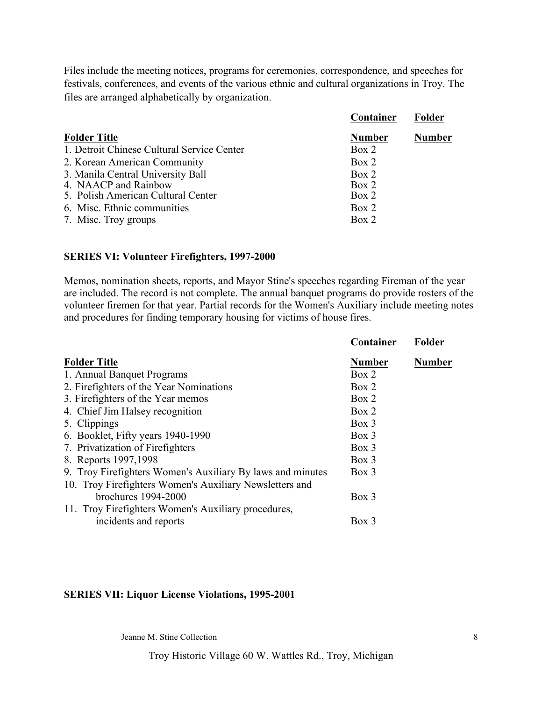Files include the meeting notices, programs for ceremonies, correspondence, and speeches for festivals, conferences, and events of the various ethnic and cultural organizations in Troy. The files are arranged alphabetically by organization.

|                                            | Container     | Folder        |
|--------------------------------------------|---------------|---------------|
| <b>Folder Title</b>                        | <b>Number</b> | <b>Number</b> |
| 1. Detroit Chinese Cultural Service Center | Box 2         |               |
| 2. Korean American Community               | Box 2         |               |
| 3. Manila Central University Ball          | Box 2         |               |
| 4. NAACP and Rainbow                       | Box 2         |               |
| 5. Polish American Cultural Center         | Box 2         |               |
| 6. Misc. Ethnic communities                | Box 2         |               |
| 7. Misc. Troy groups                       | Box 2         |               |

#### **SERIES VI: Volunteer Firefighters, 1997-2000**

Memos, nomination sheets, reports, and Mayor Stine's speeches regarding Fireman of the year are included. The record is not complete. The annual banquet programs do provide rosters of the volunteer firemen for that year. Partial records for the Women's Auxiliary include meeting notes and procedures for finding temporary housing for victims of house fires.

|                                                            | Container     | <b>Folder</b> |
|------------------------------------------------------------|---------------|---------------|
| <b>Folder Title</b>                                        | <b>Number</b> | <b>Number</b> |
| 1. Annual Banquet Programs                                 | Box 2         |               |
| 2. Firefighters of the Year Nominations                    | Box 2         |               |
| 3. Firefighters of the Year memos                          | Box 2         |               |
| 4. Chief Jim Halsey recognition                            | Box 2         |               |
| 5. Clippings                                               | $Box\ 3$      |               |
| 6. Booklet, Fifty years 1940-1990                          | $Box\ 3$      |               |
| 7. Privatization of Firefighters                           | Box 3         |               |
| 8. Reports 1997, 1998                                      | $Box$ 3       |               |
| 9. Troy Firefighters Women's Auxiliary By laws and minutes | $Box$ 3       |               |
| 10. Troy Firefighters Women's Auxiliary Newsletters and    |               |               |
| brochures $1994-2000$                                      | $Box$ 3       |               |
| 11. Troy Firefighters Women's Auxiliary procedures,        |               |               |
| incidents and reports                                      | $Box$ 3       |               |
|                                                            |               |               |

### **SERIES VII: Liquor License Violations, 1995-2001**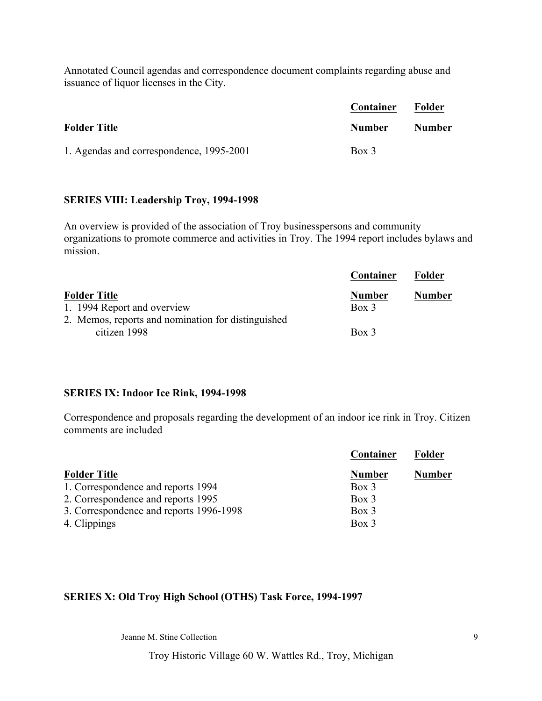Annotated Council agendas and correspondence document complaints regarding abuse and issuance of liquor licenses in the City.

|                                          | Container     | Folder        |
|------------------------------------------|---------------|---------------|
| <b>Folder Title</b>                      | <b>Number</b> | <b>Number</b> |
| 1. Agendas and correspondence, 1995-2001 | Box 3         |               |

#### **SERIES VIII: Leadership Troy, 1994-1998**

An overview is provided of the association of Troy businesspersons and community organizations to promote commerce and activities in Troy. The 1994 report includes bylaws and mission.

|                                                    | Container     | <b>Folder</b> |
|----------------------------------------------------|---------------|---------------|
| <b>Folder Title</b>                                | <b>Number</b> | <b>Number</b> |
| 1. 1994 Report and overview                        | $Box\ 3$      |               |
| 2. Memos, reports and nomination for distinguished |               |               |
| citizen 1998                                       | $Box\ 3$      |               |

#### **SERIES IX: Indoor Ice Rink, 1994-1998**

Correspondence and proposals regarding the development of an indoor ice rink in Troy. Citizen comments are included

|                                         | Container     | <b>Folder</b> |
|-----------------------------------------|---------------|---------------|
| <b>Folder Title</b>                     | <b>Number</b> | <b>Number</b> |
| 1. Correspondence and reports 1994      | $Box$ 3       |               |
| 2. Correspondence and reports 1995      | $Box$ 3       |               |
| 3. Correspondence and reports 1996-1998 | Box 3         |               |
| 4. Clippings                            | Box 3         |               |

# **SERIES X: Old Troy High School (OTHS) Task Force, 1994-1997**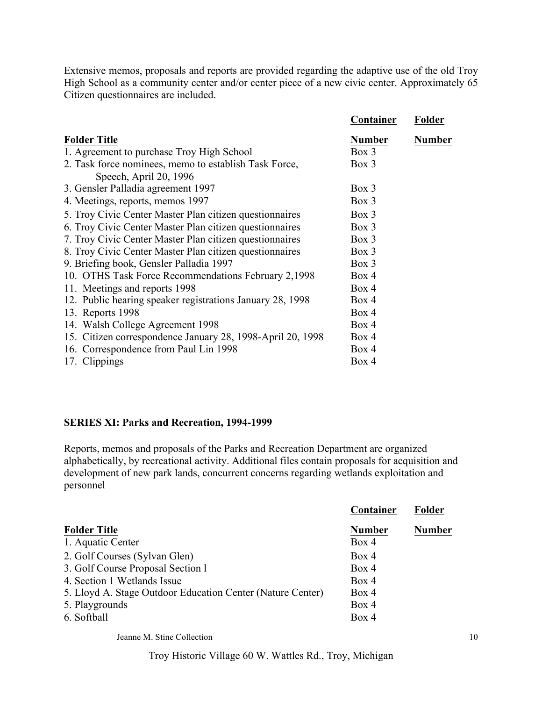Extensive memos, proposals and reports are provided regarding the adaptive use of the old Troy High School as a community center and/or center piece of a new civic center. Approximately 65 Citizen questionnaires are included.

|                                                            | Container     | Folder        |
|------------------------------------------------------------|---------------|---------------|
| <b>Folder Title</b>                                        | <b>Number</b> | <b>Number</b> |
| 1. Agreement to purchase Troy High School                  | $Box$ 3       |               |
| 2. Task force nominees, memo to establish Task Force,      | Box 3         |               |
| Speech, April 20, 1996                                     |               |               |
| 3. Gensler Palladia agreement 1997                         | $Box$ 3       |               |
| 4. Meetings, reports, memos 1997                           | Box 3         |               |
| 5. Troy Civic Center Master Plan citizen questionnaires    | Box 3         |               |
| 6. Troy Civic Center Master Plan citizen questionnaires    | Box 3         |               |
| 7. Troy Civic Center Master Plan citizen questionnaires    | $Box$ 3       |               |
| 8. Troy Civic Center Master Plan citizen questionnaires    | $Box$ 3       |               |
| 9. Briefing book, Gensler Palladia 1997                    | Box 3         |               |
| 10. OTHS Task Force Recommendations February 2,1998        | Box 4         |               |
| 11. Meetings and reports 1998                              | Box 4         |               |
| 12. Public hearing speaker registrations January 28, 1998  | Box 4         |               |
| 13. Reports 1998                                           | Box 4         |               |
| 14. Walsh College Agreement 1998                           | Box 4         |               |
| 15. Citizen correspondence January 28, 1998-April 20, 1998 | Box 4         |               |
| 16. Correspondence from Paul Lin 1998                      | Box 4         |               |
| 17. Clippings                                              | Box 4         |               |

### **SERIES XI: Parks and Recreation, 1994-1999**

Reports, memos and proposals of the Parks and Recreation Department are organized alphabetically, by recreational activity. Additional files contain proposals for acquisition and development of new park lands, concurrent concerns regarding wetlands exploitation and personnel

|                                                            | Container     | Folder        |
|------------------------------------------------------------|---------------|---------------|
| <b>Folder Title</b>                                        | <b>Number</b> | <b>Number</b> |
| 1. Aquatic Center                                          | Box 4         |               |
| 2. Golf Courses (Sylvan Glen)                              | Box 4         |               |
| 3. Golf Course Proposal Section 1                          | Box 4         |               |
| 4. Section 1 Wetlands Issue                                | Box 4         |               |
| 5. Lloyd A. Stage Outdoor Education Center (Nature Center) | Box 4         |               |
| 5. Playgrounds                                             | Box 4         |               |
| 6. Softball                                                | Box 4         |               |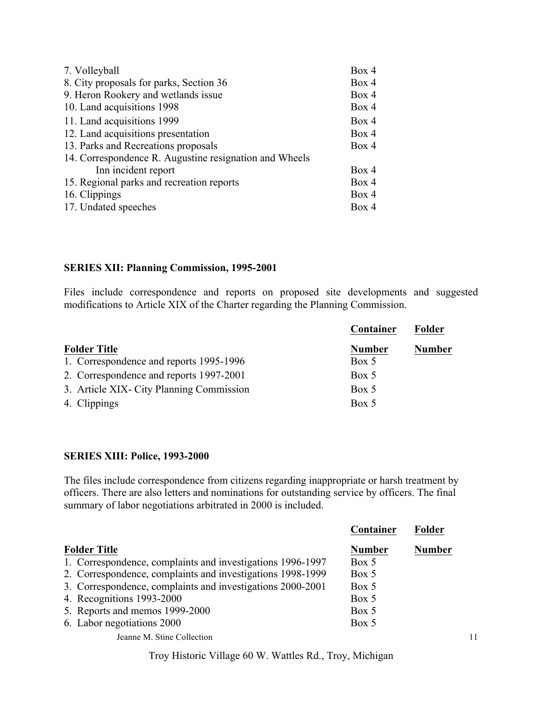| 7. Volleyball                                          | Box 4 |
|--------------------------------------------------------|-------|
| 8. City proposals for parks, Section 36                | Box 4 |
| 9. Heron Rookery and wetlands issue                    | Box 4 |
| 10. Land acquisitions 1998                             | Box 4 |
| 11. Land acquisitions 1999                             | Box 4 |
| 12. Land acquisitions presentation                     | Box 4 |
| 13. Parks and Recreations proposals                    | Box 4 |
| 14. Correspondence R. Augustine resignation and Wheels |       |
| Inn incident report                                    | Box 4 |
| 15. Regional parks and recreation reports              | Box 4 |
| 16. Clippings                                          | Box 4 |
| 17. Undated speeches                                   | Box 4 |

# **SERIES XII: Planning Commission, 1995-2001**

Files include correspondence and reports on proposed site developments and suggested modifications to Article XIX of the Charter regarding the Planning Commission.

|                                          | Container     | Folder        |
|------------------------------------------|---------------|---------------|
| <b>Folder Title</b>                      | <b>Number</b> | <b>Number</b> |
| 1. Correspondence and reports 1995-1996  | Box 5         |               |
| 2. Correspondence and reports 1997-2001  | Box 5         |               |
| 3. Article XIX- City Planning Commission | Box 5         |               |
| 4. Clippings                             | Box 5         |               |

## **SERIES XIII: Police, 1993-2000**

The files include correspondence from citizens regarding inappropriate or harsh treatment by officers. There are also letters and nominations for outstanding service by officers. The final summary of labor negotiations arbitrated in 2000 is included.

|                                                            | Container     | Folder        |    |
|------------------------------------------------------------|---------------|---------------|----|
| <b>Folder Title</b>                                        | <b>Number</b> | <b>Number</b> |    |
| 1. Correspondence, complaints and investigations 1996-1997 | Box 5         |               |    |
| 2. Correspondence, complaints and investigations 1998-1999 | Box 5         |               |    |
| 3. Correspondence, complaints and investigations 2000-2001 | Box 5         |               |    |
| 4. Recognitions 1993-2000                                  | Box 5         |               |    |
| 5. Reports and memos 1999-2000                             | Box 5         |               |    |
| 6. Labor negotiations 2000                                 | Box 5         |               |    |
| Jeanne M. Stine Collection                                 |               |               | 11 |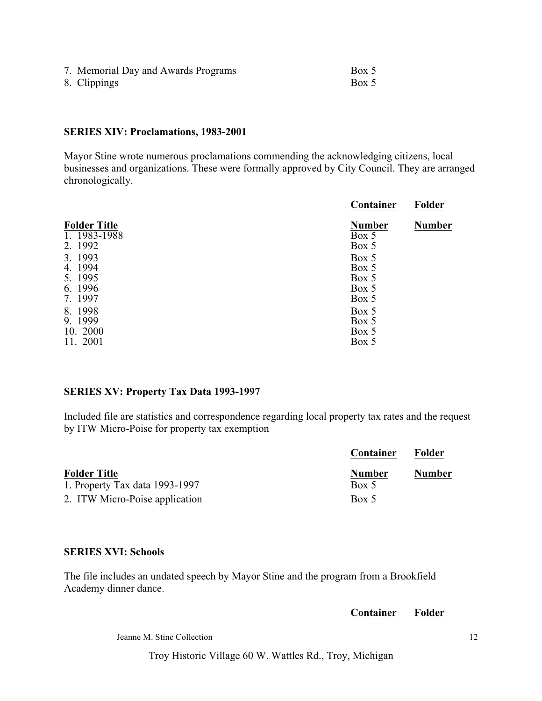| 7. Memorial Day and Awards Programs | Box 5 |
|-------------------------------------|-------|
| 8. Clippings                        | Box 5 |

### **SERIES XIV: Proclamations, 1983-2001**

Mayor Stine wrote numerous proclamations commending the acknowledging citizens, local businesses and organizations. These were formally approved by City Council. They are arranged chronologically.

|                                                    | Container                                 | Folder        |
|----------------------------------------------------|-------------------------------------------|---------------|
| <b>Folder Title</b><br>1. 1983-1988<br>2. 1992     | <b>Number</b><br>Box 5<br>Box 5           | <b>Number</b> |
| 3. 1993<br>4. 1994<br>5. 1995<br>6. 1996<br>7.1997 | Box 5<br>Box 5<br>Box 5<br>Box 5<br>Box 5 |               |
| 8.1998<br>9.1999<br>10. 2000<br>11. 2001           | Box 5<br>Box 5<br>Box 5<br>Box 5          |               |

# **SERIES XV: Property Tax Data 1993-1997**

Included file are statistics and correspondence regarding local property tax rates and the request by ITW Micro-Poise for property tax exemption

|                                | Container     | Folder        |
|--------------------------------|---------------|---------------|
| <b>Folder Title</b>            | <b>Number</b> | <b>Number</b> |
| 1. Property Tax data 1993-1997 | Box 5         |               |
| 2. ITW Micro-Poise application | Box 5         |               |

## **SERIES XVI: Schools**

The file includes an undated speech by Mayor Stine and the program from a Brookfield Academy dinner dance.

**Container Folder**

Jeanne M. Stine Collection 12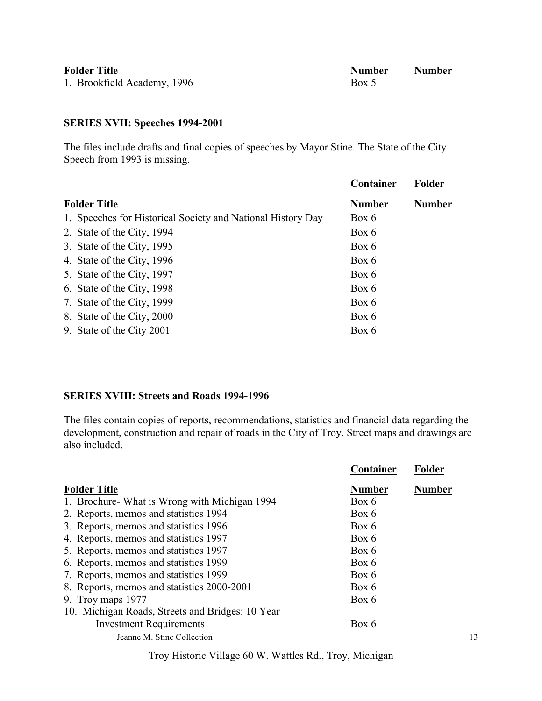| <b>Folder Title</b>         | <b>Number</b> | <b>Number</b> |
|-----------------------------|---------------|---------------|
| 1. Brookfield Academy, 1996 | Box 5         |               |

# **SERIES XVII: Speeches 1994-2001**

The files include drafts and final copies of speeches by Mayor Stine. The State of the City Speech from 1993 is missing.

|                                                             | Container     | Folder        |
|-------------------------------------------------------------|---------------|---------------|
| <b>Folder Title</b>                                         | <b>Number</b> | <b>Number</b> |
| 1. Speeches for Historical Society and National History Day | Box 6         |               |
| 2. State of the City, 1994                                  | Box 6         |               |
| 3. State of the City, 1995                                  | Box 6         |               |
| 4. State of the City, 1996                                  | Box 6         |               |
| 5. State of the City, 1997                                  | Box 6         |               |
| 6. State of the City, 1998                                  | Box 6         |               |
| 7. State of the City, 1999                                  | Box 6         |               |
| 8. State of the City, 2000                                  | Box 6         |               |
| 9. State of the City 2001                                   | Box 6         |               |
|                                                             |               |               |

# **SERIES XVIII: Streets and Roads 1994-1996**

The files contain copies of reports, recommendations, statistics and financial data regarding the development, construction and repair of roads in the City of Troy. Street maps and drawings are also included.

|                                                  | Container     | Folder        |
|--------------------------------------------------|---------------|---------------|
| <b>Folder Title</b>                              | <b>Number</b> | <b>Number</b> |
| 1. Brochure What is Wrong with Michigan 1994     | Box 6         |               |
| 2. Reports, memos and statistics 1994            | Box 6         |               |
| 3. Reports, memos and statistics 1996            | Box 6         |               |
| 4. Reports, memos and statistics 1997            | Box 6         |               |
| 5. Reports, memos and statistics 1997            | Box 6         |               |
| 6. Reports, memos and statistics 1999            | Box 6         |               |
| 7. Reports, memos and statistics 1999            | Box 6         |               |
| 8. Reports, memos and statistics 2000-2001       | Box 6         |               |
| 9. Troy maps 1977                                | Box 6         |               |
| 10. Michigan Roads, Streets and Bridges: 10 Year |               |               |
| <b>Investment Requirements</b>                   | Box 6         |               |
| Jeanne M. Stine Collection                       |               | 13            |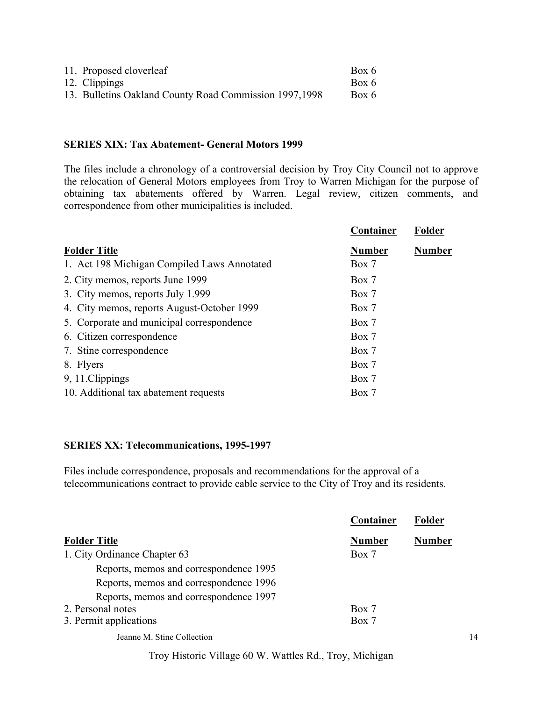| 11. Proposed cloverleaf                                 | Box 6 |
|---------------------------------------------------------|-------|
| 12. Clippings                                           | Box 6 |
| 13. Bulletins Oakland County Road Commission 1997, 1998 | Box 6 |

#### **SERIES XIX: Tax Abatement- General Motors 1999**

The files include a chronology of a controversial decision by Troy City Council not to approve the relocation of General Motors employees from Troy to Warren Michigan for the purpose of obtaining tax abatements offered by Warren. Legal review, citizen comments, and correspondence from other municipalities is included.

|                                             | Container     | Folder        |
|---------------------------------------------|---------------|---------------|
| <b>Folder Title</b>                         | <b>Number</b> | <b>Number</b> |
| 1. Act 198 Michigan Compiled Laws Annotated | Box 7         |               |
| 2. City memos, reports June 1999            | Box 7         |               |
| 3. City memos, reports July 1.999           | Box 7         |               |
| 4. City memos, reports August-October 1999  | Box 7         |               |
| 5. Corporate and municipal correspondence   | Box 7         |               |
| 6. Citizen correspondence                   | Box 7         |               |
| 7. Stine correspondence                     | Box 7         |               |
| 8. Flyers                                   | Box 7         |               |
| 9, 11. Clippings                            | Box 7         |               |
| 10. Additional tax abatement requests       | Box 7         |               |

### **SERIES XX: Telecommunications, 1995-1997**

Files include correspondence, proposals and recommendations for the approval of a telecommunications contract to provide cable service to the City of Troy and its residents.

|                                        | Container     | <b>Folder</b> |    |
|----------------------------------------|---------------|---------------|----|
| <b>Folder Title</b>                    | <b>Number</b> | <b>Number</b> |    |
| 1. City Ordinance Chapter 63           | Box 7         |               |    |
| Reports, memos and correspondence 1995 |               |               |    |
| Reports, memos and correspondence 1996 |               |               |    |
| Reports, memos and correspondence 1997 |               |               |    |
| 2. Personal notes                      | Box 7         |               |    |
| 3. Permit applications                 | Box 7         |               |    |
| Jeanne M. Stine Collection             |               |               | 14 |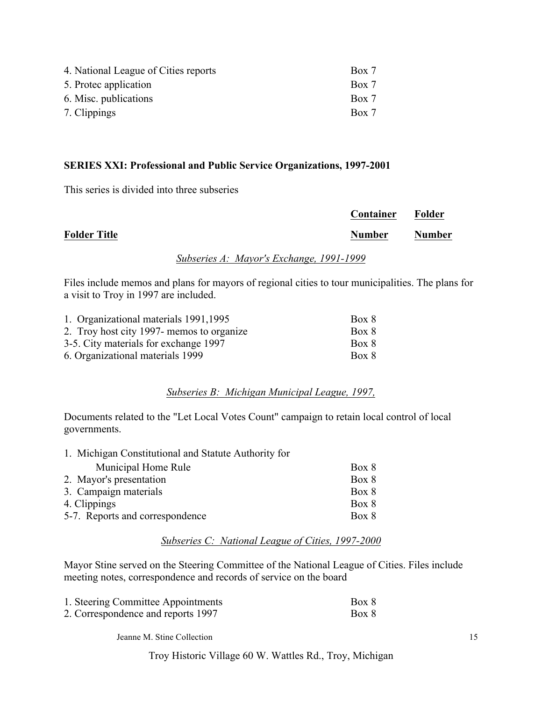| 4. National League of Cities reports | Box 7 |
|--------------------------------------|-------|
| 5. Protec application                | Box 7 |
| 6. Misc. publications                | Box 7 |
| 7. Clippings                         | Box 7 |

### **SERIES XXI: Professional and Public Service Organizations, 1997-2001**

This series is divided into three subseries

|                     |     |            |     | Container     | Folder        |
|---------------------|-----|------------|-----|---------------|---------------|
| <b>Folder Title</b> |     |            |     | <b>Number</b> | <b>Number</b> |
|                     | ___ | .<br>_____ | ___ | .             |               |

## *Subseries A: Mayor's Exchange, 1991-1999*

Files include memos and plans for mayors of regional cities to tour municipalities. The plans for a visit to Troy in 1997 are included.

| 1. Organizational materials 1991, 1995    | Box 8 |
|-------------------------------------------|-------|
| 2. Troy host city 1997- memos to organize | Box 8 |
| 3-5. City materials for exchange 1997     | Box 8 |
| 6. Organizational materials 1999          | Box 8 |

## *Subseries B: Michigan Municipal League, 1997,*

Documents related to the "Let Local Votes Count" campaign to retain local control of local governments.

| 1. Michigan Constitutional and Statute Authority for |       |
|------------------------------------------------------|-------|
| Municipal Home Rule                                  | Box 8 |
| 2. Mayor's presentation                              | Box 8 |
| 3. Campaign materials                                | Box 8 |
| 4. Clippings                                         | Box 8 |
| 5-7. Reports and correspondence                      | Box 8 |

### *Subseries C: National League of Cities, 1997-2000*

Mayor Stine served on the Steering Committee of the National League of Cities. Files include meeting notes, correspondence and records of service on the board

| 1. Steering Committee Appointments | Box 8 |
|------------------------------------|-------|
| 2. Correspondence and reports 1997 | Box 8 |